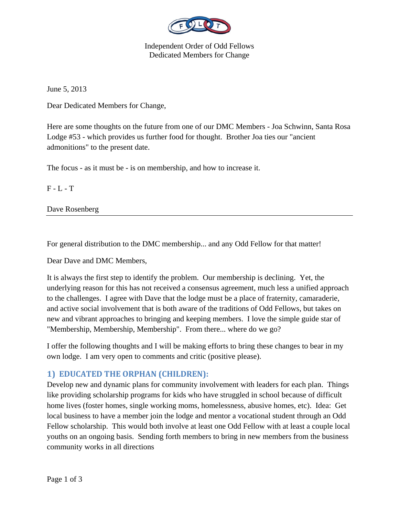

Independent Order of Odd Fellows Dedicated Members for Change

June 5, 2013

Dear Dedicated Members for Change,

Here are some thoughts on the future from one of our DMC Members - Joa Schwinn, Santa Rosa Lodge #53 - which provides us further food for thought. Brother Joa ties our "ancient admonitions" to the present date.

The focus - as it must be - is on membership, and how to increase it.

 $F - L - T$ 

Dave Rosenberg

For general distribution to the DMC membership... and any Odd Fellow for that matter!

Dear Dave and DMC Members,

It is always the first step to identify the problem. Our membership is declining. Yet, the underlying reason for this has not received a consensus agreement, much less a unified approach to the challenges. I agree with Dave that the lodge must be a place of fraternity, camaraderie, and active social involvement that is both aware of the traditions of Odd Fellows, but takes on new and vibrant approaches to bringing and keeping members. I love the simple guide star of "Membership, Membership, Membership". From there... where do we go?

I offer the following thoughts and I will be making efforts to bring these changes to bear in my own lodge. I am very open to comments and critic (positive please).

## **1) EDUCATED THE ORPHAN (CHILDREN):**

Develop new and dynamic plans for community involvement with leaders for each plan. Things like providing scholarship programs for kids who have struggled in school because of difficult home lives (foster homes, single working moms, homelessness, abusive homes, etc). Idea: Get local business to have a member join the lodge and mentor a vocational student through an Odd Fellow scholarship. This would both involve at least one Odd Fellow with at least a couple local youths on an ongoing basis. Sending forth members to bring in new members from the business community works in all directions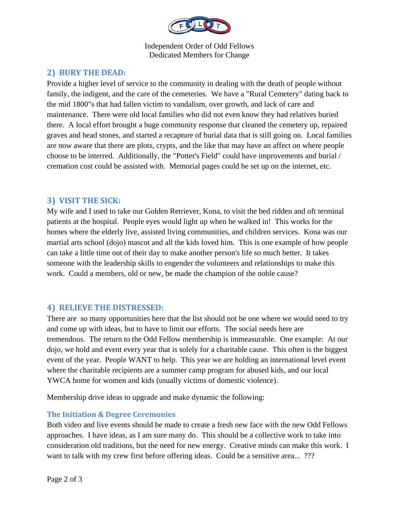

Independent Order of Odd Fellows Dedicated Members for Change

# **2) BURY THE DEAD:**

Provide a higher level of service to the community in dealing with the death of people without family, the indigent, and the care of the cemeteries. We have a "Rural Cemetery" dating back to the mid 1800"s that had fallen victim to vandalism, over growth, and lack of care and maintenance. There were old local families who did not even know they had relatives buried there. A local effort brought a huge community response that cleaned the cemetery up, repaired graves and head stones, and started a recapture of burial data that is still going on. Local families are now aware that there are plots, crypts, and the like that may have an affect on where people choose to be interred. Additionally, the "Potter's Field" could have improvements and burial / cremation cost could be assisted with. Memorial pages could be set up on the internet, etc.

## **3) VISIT THE SICK:**

My wife and I used to take our Golden Retriever, Kona, to visit the bed ridden and oft terminal patients at the hospital. People eyes would light up when he walked in! This works for the homes where the elderly live, assisted living communities, and children services. Kona was our martial arts school (dojo) mascot and all the kids loved him. This is one example of how people can take a little time out of their day to make another person's life so much better. It takes someone with the leadership skills to engender the volunteers and relationships to make this work. Could a members, old or new, be made the champion of the noble cause?

## **4) RELIEVE THE DISTRESSED:**

There are so many opportunities here that the list should not be one where we would need to try and come up with ideas, but to have to limit our efforts. The social needs here are tremendous. The return to the Odd Fellow membership is immeasurable. One example: At our dojo, we hold and event every year that is solely for a charitable cause. This often is the biggest event of the year. People WANT to help. This year we are holding an international level event where the charitable recipients are a summer camp program for abused kids, and our local YWCA home for women and kids (usually victims of domestic violence).

Membership drive ideas to upgrade and make dynamic the following:

#### **The Initiation & Degree Ceremonies**

Both video and live events should be made to create a fresh new face with the new Odd Fellows approaches. I have ideas, as I am sure many do. This should be a collective work to take into consideration old traditions, but the need for new energy. Creative minds can make this work. I want to talk with my crew first before offering ideas. Could be a sensitive area... ???